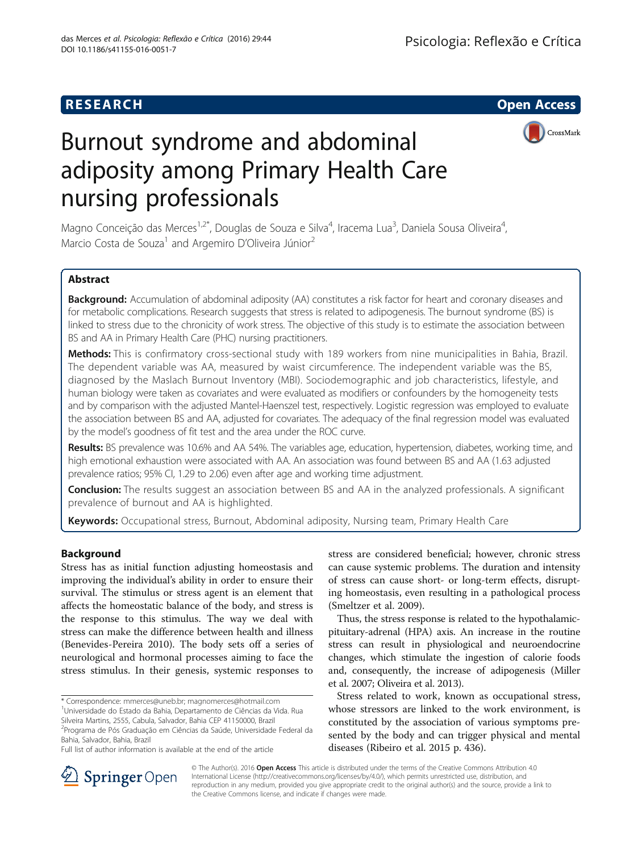# **RESEARCH CHE Open Access**

CrossMark



Magno Conceição das Merces<sup>1,2\*</sup>, Douglas de Souza e Silva<sup>4</sup>, Iracema Lua<sup>3</sup>, Daniela Sousa Oliveira<sup>4</sup> , Marcio Costa de Souza<sup>1</sup> and Argemiro D'Oliveira Júnior<sup>2</sup>

# Abstract

Background: Accumulation of abdominal adiposity (AA) constitutes a risk factor for heart and coronary diseases and for metabolic complications. Research suggests that stress is related to adipogenesis. The burnout syndrome (BS) is linked to stress due to the chronicity of work stress. The objective of this study is to estimate the association between BS and AA in Primary Health Care (PHC) nursing practitioners.

Methods: This is confirmatory cross-sectional study with 189 workers from nine municipalities in Bahia, Brazil. The dependent variable was AA, measured by waist circumference. The independent variable was the BS, diagnosed by the Maslach Burnout Inventory (MBI). Sociodemographic and job characteristics, lifestyle, and human biology were taken as covariates and were evaluated as modifiers or confounders by the homogeneity tests and by comparison with the adjusted Mantel-Haenszel test, respectively. Logistic regression was employed to evaluate the association between BS and AA, adjusted for covariates. The adequacy of the final regression model was evaluated by the model's goodness of fit test and the area under the ROC curve.

Results: BS prevalence was 10.6% and AA 54%. The variables age, education, hypertension, diabetes, working time, and high emotional exhaustion were associated with AA. An association was found between BS and AA (1.63 adjusted prevalence ratios; 95% CI, 1.29 to 2.06) even after age and working time adjustment.

**Conclusion:** The results suggest an association between BS and AA in the analyzed professionals. A significant prevalence of burnout and AA is highlighted.

Keywords: Occupational stress, Burnout, Abdominal adiposity, Nursing team, Primary Health Care

# Background

Stress has as initial function adjusting homeostasis and improving the individual's ability in order to ensure their survival. The stimulus or stress agent is an element that affects the homeostatic balance of the body, and stress is the response to this stimulus. The way we deal with stress can make the difference between health and illness (Benevides-Pereira [2010\)](#page-6-0). The body sets off a series of neurological and hormonal processes aiming to face the stress stimulus. In their genesis, systemic responses to

Universidade do Estado da Bahia, Departamento de Ciências da Vida. Rua

Silveira Martins, 2555, Cabula, Salvador, Bahia CEP 41150000, Brazil <sup>2</sup>Programa de Pós Graduação em Ciências da Saúde, Universidade Federal da

Bahia, Salvador, Bahia, Brazil

Full list of author information is available at the end of the article

stress are considered beneficial; however, chronic stress can cause systemic problems. The duration and intensity of stress can cause short- or long-term effects, disrupting homeostasis, even resulting in a pathological process (Smeltzer et al. [2009\)](#page-7-0).

Thus, the stress response is related to the hypothalamicpituitary-adrenal (HPA) axis. An increase in the routine stress can result in physiological and neuroendocrine changes, which stimulate the ingestion of calorie foods and, consequently, the increase of adipogenesis (Miller et al. [2007](#page-7-0); Oliveira et al. [2013](#page-7-0)).

Stress related to work, known as occupational stress, whose stressors are linked to the work environment, is constituted by the association of various symptoms presented by the body and can trigger physical and mental diseases (Ribeiro et al. [2015](#page-7-0) p. 436).



© The Author(s). 2016 Open Access This article is distributed under the terms of the Creative Commons Attribution 4.0 International License ([http://creativecommons.org/licenses/by/4.0/\)](http://creativecommons.org/licenses/by/4.0/), which permits unrestricted use, distribution, and reproduction in any medium, provided you give appropriate credit to the original author(s) and the source, provide a link to the Creative Commons license, and indicate if changes were made.

<sup>\*</sup> Correspondence: [mmerces@uneb.br;](mailto:mmerces@uneb.br) [magnomerces@hotmail.com](mailto:magnomerces@hotmail.com) <sup>1</sup>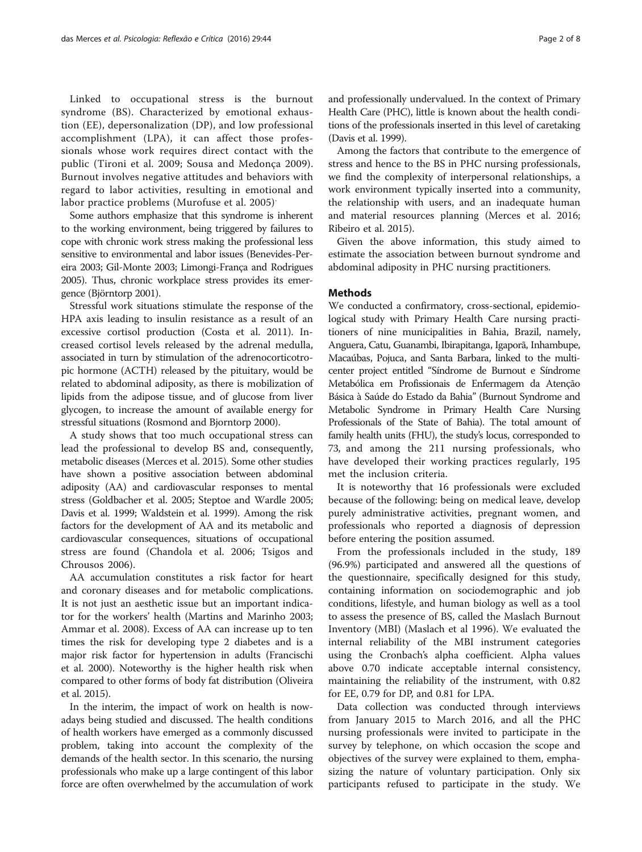Linked to occupational stress is the burnout syndrome (BS). Characterized by emotional exhaustion (EE), depersonalization (DP), and low professional accomplishment (LPA), it can affect those professionals whose work requires direct contact with the public (Tironi et al. [2009](#page-7-0); Sousa and Medonça [2009](#page-7-0)). Burnout involves negative attitudes and behaviors with regard to labor activities, resulting in emotional and labor practice problems (Murofuse et al. [2005\)](#page-7-0)<sup>.</sup>

Some authors emphasize that this syndrome is inherent to the working environment, being triggered by failures to cope with chronic work stress making the professional less sensitive to environmental and labor issues (Benevides-Pereira [2003](#page-6-0); Gil-Monte [2003](#page-6-0); Limongi-França and Rodrigues [2005\)](#page-6-0). Thus, chronic workplace stress provides its emergence (Björntorp [2001](#page-6-0)).

Stressful work situations stimulate the response of the HPA axis leading to insulin resistance as a result of an excessive cortisol production (Costa et al. [2011](#page-6-0)). Increased cortisol levels released by the adrenal medulla, associated in turn by stimulation of the adrenocorticotropic hormone (ACTH) released by the pituitary, would be related to abdominal adiposity, as there is mobilization of lipids from the adipose tissue, and of glucose from liver glycogen, to increase the amount of available energy for stressful situations (Rosmond and Bjorntorp [2000\)](#page-7-0).

A study shows that too much occupational stress can lead the professional to develop BS and, consequently, metabolic diseases (Merces et al. [2015](#page-7-0)). Some other studies have shown a positive association between abdominal adiposity (AA) and cardiovascular responses to mental stress (Goldbacher et al. [2005](#page-6-0); Steptoe and Wardle [2005](#page-7-0); Davis et al. [1999;](#page-6-0) Waldstein et al. [1999](#page-7-0)). Among the risk factors for the development of AA and its metabolic and cardiovascular consequences, situations of occupational stress are found (Chandola et al. [2006](#page-6-0); Tsigos and Chrousos [2006](#page-7-0)).

AA accumulation constitutes a risk factor for heart and coronary diseases and for metabolic complications. It is not just an aesthetic issue but an important indicator for the workers' health (Martins and Marinho [2003](#page-7-0); Ammar et al. [2008](#page-6-0)). Excess of AA can increase up to ten times the risk for developing type 2 diabetes and is a major risk factor for hypertension in adults (Francischi et al. [2000](#page-6-0)). Noteworthy is the higher health risk when compared to other forms of body fat distribution (Oliveira et al. [2015](#page-7-0)).

In the interim, the impact of work on health is nowadays being studied and discussed. The health conditions of health workers have emerged as a commonly discussed problem, taking into account the complexity of the demands of the health sector. In this scenario, the nursing professionals who make up a large contingent of this labor force are often overwhelmed by the accumulation of work

and professionally undervalued. In the context of Primary Health Care (PHC), little is known about the health conditions of the professionals inserted in this level of caretaking (Davis et al. [1999](#page-6-0)).

Among the factors that contribute to the emergence of stress and hence to the BS in PHC nursing professionals, we find the complexity of interpersonal relationships, a work environment typically inserted into a community, the relationship with users, and an inadequate human and material resources planning (Merces et al. [2016](#page-7-0); Ribeiro et al. [2015](#page-7-0)).

Given the above information, this study aimed to estimate the association between burnout syndrome and abdominal adiposity in PHC nursing practitioners.

## Methods

We conducted a confirmatory, cross-sectional, epidemiological study with Primary Health Care nursing practitioners of nine municipalities in Bahia, Brazil, namely, Anguera, Catu, Guanambi, Ibirapitanga, Igaporã, Inhambupe, Macaúbas, Pojuca, and Santa Barbara, linked to the multicenter project entitled "Síndrome de Burnout e Síndrome Metabólica em Profissionais de Enfermagem da Atenção Básica à Saúde do Estado da Bahia" (Burnout Syndrome and Metabolic Syndrome in Primary Health Care Nursing Professionals of the State of Bahia). The total amount of family health units (FHU), the study's locus, corresponded to 73, and among the 211 nursing professionals, who have developed their working practices regularly, 195 met the inclusion criteria.

It is noteworthy that 16 professionals were excluded because of the following: being on medical leave, develop purely administrative activities, pregnant women, and professionals who reported a diagnosis of depression before entering the position assumed.

From the professionals included in the study, 189 (96.9%) participated and answered all the questions of the questionnaire, specifically designed for this study, containing information on sociodemographic and job conditions, lifestyle, and human biology as well as a tool to assess the presence of BS, called the Maslach Burnout Inventory (MBI) (Maslach et al [1996](#page-7-0)). We evaluated the internal reliability of the MBI instrument categories using the Cronbach's alpha coefficient. Alpha values above 0.70 indicate acceptable internal consistency, maintaining the reliability of the instrument, with 0.82 for EE, 0.79 for DP, and 0.81 for LPA.

Data collection was conducted through interviews from January 2015 to March 2016, and all the PHC nursing professionals were invited to participate in the survey by telephone, on which occasion the scope and objectives of the survey were explained to them, emphasizing the nature of voluntary participation. Only six participants refused to participate in the study. We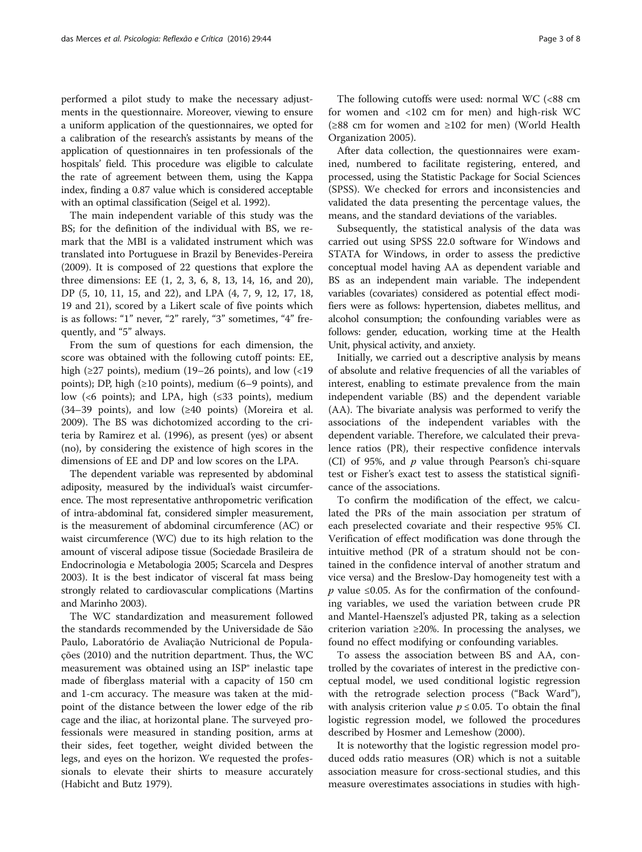performed a pilot study to make the necessary adjustments in the questionnaire. Moreover, viewing to ensure a uniform application of the questionnaires, we opted for a calibration of the research's assistants by means of the application of questionnaires in ten professionals of the hospitals' field. This procedure was eligible to calculate the rate of agreement between them, using the Kappa index, finding a 0.87 value which is considered acceptable with an optimal classification (Seigel et al. [1992](#page-7-0)).

The main independent variable of this study was the BS; for the definition of the individual with BS, we remark that the MBI is a validated instrument which was translated into Portuguese in Brazil by Benevides-Pereira ([2009](#page-6-0)). It is composed of 22 questions that explore the three dimensions: EE (1, 2, 3, 6, 8, 13, 14, 16, and 20), DP (5, 10, 11, 15, and 22), and LPA (4, 7, 9, 12, 17, 18, 19 and 21), scored by a Likert scale of five points which is as follows: "1" never, "2" rarely, "3" sometimes, "4" frequently, and "5" always.

From the sum of questions for each dimension, the score was obtained with the following cutoff points: EE, high ( $\geq$ 27 points), medium (19–26 points), and low (<19 points); DP, high ( $\geq 10$  points), medium (6–9 points), and low (<6 points); and LPA, high ( $\leq$ 33 points), medium (34–39 points), and low (≥40 points) (Moreira et al. [2009](#page-7-0)). The BS was dichotomized according to the criteria by Ramirez et al. ([1996](#page-7-0)), as present (yes) or absent (no), by considering the existence of high scores in the dimensions of EE and DP and low scores on the LPA.

The dependent variable was represented by abdominal adiposity, measured by the individual's waist circumference. The most representative anthropometric verification of intra-abdominal fat, considered simpler measurement, is the measurement of abdominal circumference (AC) or waist circumference (WC) due to its high relation to the amount of visceral adipose tissue (Sociedade Brasileira de Endocrinologia e Metabologia [2005;](#page-7-0) Scarcela and Despres [2003\)](#page-7-0). It is the best indicator of visceral fat mass being strongly related to cardiovascular complications (Martins and Marinho [2003\)](#page-7-0).

The WC standardization and measurement followed the standards recommended by the Universidade de São Paulo, Laboratório de Avaliação Nutricional de Populações ([2010](#page-7-0)) and the nutrition department. Thus, the WC measurement was obtained using an ISP® inelastic tape made of fiberglass material with a capacity of 150 cm and 1-cm accuracy. The measure was taken at the midpoint of the distance between the lower edge of the rib cage and the iliac, at horizontal plane. The surveyed professionals were measured in standing position, arms at their sides, feet together, weight divided between the legs, and eyes on the horizon. We requested the professionals to elevate their shirts to measure accurately (Habicht and Butz [1979](#page-6-0)).

The following cutoffs were used: normal WC (<88 cm for women and <102 cm for men) and high-risk WC (≥88 cm for women and ≥102 for men) (World Health Organization [2005\)](#page-7-0).

After data collection, the questionnaires were examined, numbered to facilitate registering, entered, and processed, using the Statistic Package for Social Sciences (SPSS). We checked for errors and inconsistencies and validated the data presenting the percentage values, the means, and the standard deviations of the variables.

Subsequently, the statistical analysis of the data was carried out using SPSS 22.0 software for Windows and STATA for Windows, in order to assess the predictive conceptual model having AA as dependent variable and BS as an independent main variable. The independent variables (covariates) considered as potential effect modifiers were as follows: hypertension, diabetes mellitus, and alcohol consumption; the confounding variables were as follows: gender, education, working time at the Health Unit, physical activity, and anxiety.

Initially, we carried out a descriptive analysis by means of absolute and relative frequencies of all the variables of interest, enabling to estimate prevalence from the main independent variable (BS) and the dependent variable (AA). The bivariate analysis was performed to verify the associations of the independent variables with the dependent variable. Therefore, we calculated their prevalence ratios (PR), their respective confidence intervals (CI) of 95%, and  $p$  value through Pearson's chi-square test or Fisher's exact test to assess the statistical significance of the associations.

To confirm the modification of the effect, we calculated the PRs of the main association per stratum of each preselected covariate and their respective 95% CI. Verification of effect modification was done through the intuitive method (PR of a stratum should not be contained in the confidence interval of another stratum and vice versa) and the Breslow-Day homogeneity test with a p value  $\leq 0.05$ . As for the confirmation of the confounding variables, we used the variation between crude PR and Mantel-Haenszel's adjusted PR, taking as a selection criterion variation  $\geq 20\%$ . In processing the analyses, we found no effect modifying or confounding variables.

To assess the association between BS and AA, controlled by the covariates of interest in the predictive conceptual model, we used conditional logistic regression with the retrograde selection process ("Back Ward"), with analysis criterion value  $p \le 0.05$ . To obtain the final logistic regression model, we followed the procedures described by Hosmer and Lemeshow [\(2000\)](#page-6-0).

It is noteworthy that the logistic regression model produced odds ratio measures (OR) which is not a suitable association measure for cross-sectional studies, and this measure overestimates associations in studies with high-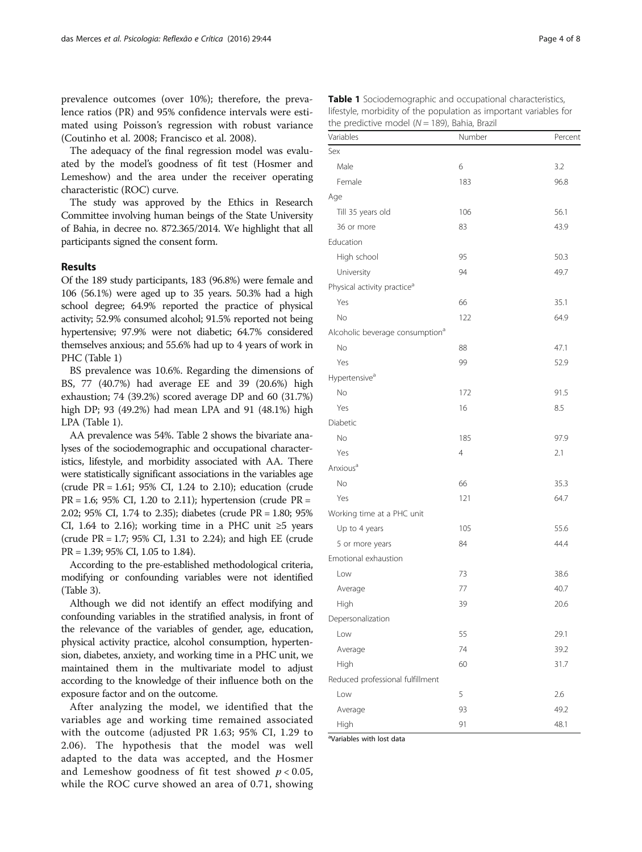prevalence outcomes (over 10%); therefore, the prevalence ratios (PR) and 95% confidence intervals were estimated using Poisson's regression with robust variance (Coutinho et al. [2008;](#page-6-0) Francisco et al. [2008\)](#page-6-0).

The adequacy of the final regression model was evaluated by the model's goodness of fit test (Hosmer and Lemeshow) and the area under the receiver operating characteristic (ROC) curve.

The study was approved by the Ethics in Research Committee involving human beings of the State University of Bahia, in decree no. 872.365/2014. We highlight that all participants signed the consent form.

### Results

Of the 189 study participants, 183 (96.8%) were female and 106 (56.1%) were aged up to 35 years. 50.3% had a high school degree; 64.9% reported the practice of physical activity; 52.9% consumed alcohol; 91.5% reported not being hypertensive; 97.9% were not diabetic; 64.7% considered themselves anxious; and 55.6% had up to 4 years of work in PHC (Table 1)

BS prevalence was 10.6%. Regarding the dimensions of BS, 77 (40.7%) had average EE and 39 (20.6%) high exhaustion; 74 (39.2%) scored average DP and 60 (31.7%) high DP; 93 (49.2%) had mean LPA and 91 (48.1%) high LPA (Table 1).

AA prevalence was 54%. Table [2](#page-4-0) shows the bivariate analyses of the sociodemographic and occupational characteristics, lifestyle, and morbidity associated with AA. There were statistically significant associations in the variables age (crude PR = 1.61; 95% CI, 1.24 to 2.10); education (crude  $PR = 1.6$ ; 95% CI, 1.20 to 2.11); hypertension (crude  $PR =$ 2.02; 95% CI, 1.74 to 2.35); diabetes (crude PR = 1.80; 95% CI, 1.64 to 2.16); working time in a PHC unit  $\geq 5$  years (crude PR = 1.7; 95% CI, 1.31 to 2.24); and high EE (crude PR = 1.39; 95% CI, 1.05 to 1.84).

According to the pre-established methodological criteria, modifying or confounding variables were not identified (Table [3](#page-4-0)).

Although we did not identify an effect modifying and confounding variables in the stratified analysis, in front of the relevance of the variables of gender, age, education, physical activity practice, alcohol consumption, hypertension, diabetes, anxiety, and working time in a PHC unit, we maintained them in the multivariate model to adjust according to the knowledge of their influence both on the exposure factor and on the outcome.

After analyzing the model, we identified that the variables age and working time remained associated with the outcome (adjusted PR 1.63; 95% CI, 1.29 to 2.06). The hypothesis that the model was well adapted to the data was accepted, and the Hosmer and Lemeshow goodness of fit test showed  $p < 0.05$ , while the ROC curve showed an area of 0.71, showing

| Table 1 Sociodemographic and occupational characteristics,        |
|-------------------------------------------------------------------|
| lifestyle, morbidity of the population as important variables for |
| the predictive model $(N = 189)$ , Bahia, Brazil                  |

| Variables                                   | Number | Percent |
|---------------------------------------------|--------|---------|
| Sex                                         |        |         |
| Male                                        | 6      | 3.2     |
| Female                                      | 183    | 96.8    |
| Age                                         |        |         |
| Till 35 years old                           | 106    | 56.1    |
| 36 or more                                  | 83     | 43.9    |
| Education                                   |        |         |
| High school                                 | 95     | 50.3    |
| University                                  | 94     | 49.7    |
| Physical activity practice <sup>a</sup>     |        |         |
| Yes                                         | 66     | 35.1    |
| No                                          | 122    | 64.9    |
| Alcoholic beverage consumption <sup>a</sup> |        |         |
| No                                          | 88     | 47.1    |
| Yes                                         | 99     | 52.9    |
| Hypertensive <sup>a</sup>                   |        |         |
| No                                          | 172    | 91.5    |
| Yes                                         | 16     | 8.5     |
| Diabetic                                    |        |         |
| No                                          | 185    | 97.9    |
| Yes                                         | 4      | 2.1     |
| Anxious <sup>a</sup>                        |        |         |
| No                                          | 66     | 35.3    |
| Yes                                         | 121    | 64.7    |
| Working time at a PHC unit                  |        |         |
| Up to 4 years                               | 105    | 55.6    |
| 5 or more years                             | 84     | 44.4    |
| Emotional exhaustion                        |        |         |
| Low                                         | 73     | 38.6    |
| Average                                     | 77     | 40.7    |
| High                                        | 39     | 20.6    |
| Depersonalization                           |        |         |
| Low                                         | 55     | 29.1    |
| Average                                     | 74     | 39.2    |
| High                                        | 60     | 31.7    |
| Reduced professional fulfillment            |        |         |
| Low                                         | 5      | 2.6     |
| Average                                     | 93     | 49.2    |
| High                                        | 91     | 48.1    |

<sup>a</sup>Variables with lost data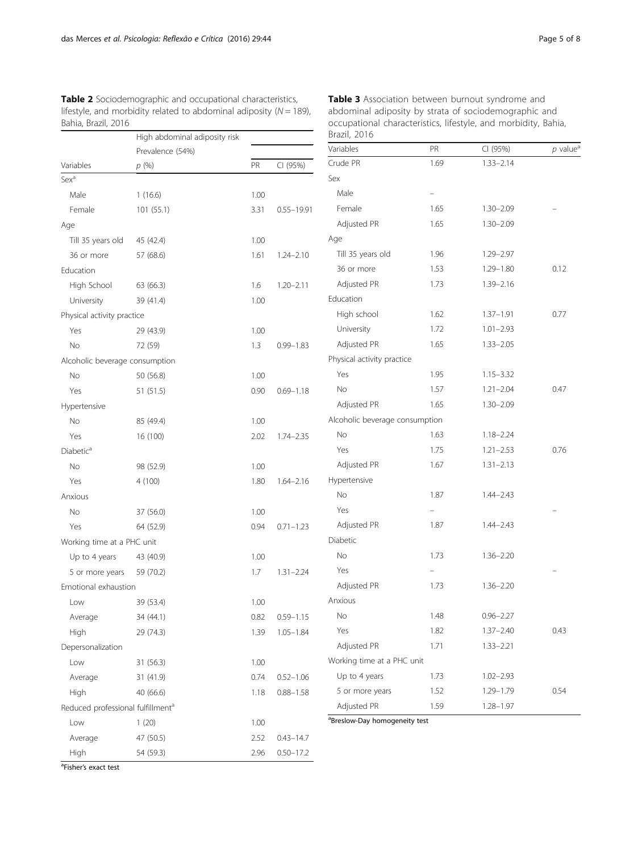|                                               | High abdominal adiposity risk |      |                |
|-----------------------------------------------|-------------------------------|------|----------------|
|                                               | Prevalence (54%)              |      |                |
| Variables                                     | p (%)                         | PR   | CI (95%)       |
| Sex <sup>a</sup>                              |                               |      |                |
| Male                                          | 1(16.6)                       | 1.00 |                |
| Female                                        | 101 (55.1)                    | 3.31 | $0.55 - 19.91$ |
| Age                                           |                               |      |                |
| Till 35 years old                             | 45 (42.4)                     | 1.00 |                |
| 36 or more                                    | 57 (68.6)                     | 1.61 | $1.24 - 2.10$  |
| Education                                     |                               |      |                |
| High School                                   | 63 (66.3)                     | 1.6  | $1.20 - 2.11$  |
| University                                    | 39 (41.4)                     | 1.00 |                |
| Physical activity practice                    |                               |      |                |
| Yes                                           | 29 (43.9)                     | 1.00 |                |
| No                                            | 72 (59)                       | 1.3  | $0.99 - 1.83$  |
| Alcoholic beverage consumption                |                               |      |                |
| No                                            | 50 (56.8)                     | 1.00 |                |
| Yes                                           | 51 (51.5)                     | 0.90 | $0.69 - 1.18$  |
| Hypertensive                                  |                               |      |                |
| No                                            | 85 (49.4)                     | 1.00 |                |
| Yes                                           | 16 (100)                      | 2.02 | 1.74-2.35      |
| Diabetic <sup>a</sup>                         |                               |      |                |
| No                                            | 98 (52.9)                     | 1.00 |                |
| Yes                                           | 4(100)                        | 1.80 | $1.64 - 2.16$  |
| Anxious                                       |                               |      |                |
| No                                            | 37 (56.0)                     | 1.00 |                |
| Yes                                           | 64 (52.9)                     | 0.94 | $0.71 - 1.23$  |
| Working time at a PHC unit                    |                               |      |                |
| Up to 4 years                                 | 43 (40.9)                     | 1.00 |                |
| 5 or more years                               | 59 (70.2)                     | 1.7  | $1.31 - 2.24$  |
| Emotional exhaustion                          |                               |      |                |
| Low                                           | 39 (53.4)                     | 1.00 |                |
| Average                                       | 34 (44.1)                     | 0.82 | $0.59 - 1.15$  |
| High                                          | 29 (74.3)                     | 1.39 | $1.05 - 1.84$  |
| Depersonalization                             |                               |      |                |
| Low                                           | 31 (56.3)                     | 1.00 |                |
| Average                                       | 31 (41.9)                     | 0.74 | $0.52 - 1.06$  |
| High                                          | 40 (66.6)                     | 1.18 | $0.88 - 1.58$  |
| Reduced professional fulfillment <sup>a</sup> |                               |      |                |
| Low                                           | 1(20)                         | 1.00 |                |
| Average                                       | 47 (50.5)                     | 2.52 | $0.43 - 14.7$  |
| High                                          | 54 (59.3)                     | 2.96 | $0.50 - 17.2$  |

<span id="page-4-0"></span>

| <b>Table 2</b> Sociodemographic and occupational characteristics,      |
|------------------------------------------------------------------------|
| lifestyle, and morbidity related to abdominal adiposity ( $N = 189$ ), |
| Bahia, Brazil, 2016                                                    |

| Variables                                 | PR   | CI (95%)      | $p$ value <sup>a</sup> |
|-------------------------------------------|------|---------------|------------------------|
| Crude PR                                  | 1.69 | $1.33 - 2.14$ |                        |
| Sex                                       |      |               |                        |
| Male                                      |      |               |                        |
| Female                                    | 1.65 | $1.30 - 2.09$ |                        |
| Adjusted PR                               | 1.65 | $1.30 - 2.09$ |                        |
| Age                                       |      |               |                        |
| Till 35 years old                         | 1.96 | 1.29-2.97     |                        |
| 36 or more                                | 1.53 | 1.29-1.80     | 0.12                   |
| Adjusted PR                               | 1.73 | 1.39-2.16     |                        |
| Education                                 |      |               |                        |
| High school                               | 1.62 | $1.37 - 1.91$ | 0.77                   |
| University                                | 1.72 | $1.01 - 2.93$ |                        |
| Adjusted PR                               | 1.65 | 1.33-2.05     |                        |
| Physical activity practice                |      |               |                        |
| Yes                                       | 1.95 | $1.15 - 3.32$ |                        |
| No                                        | 1.57 | $1.21 - 2.04$ | 0.47                   |
| Adjusted PR                               | 1.65 | $1.30 - 2.09$ |                        |
| Alcoholic beverage consumption            |      |               |                        |
| No                                        | 1.63 | $1.18 - 2.24$ |                        |
| Yes                                       | 1.75 | $1.21 - 2.53$ | 0.76                   |
| Adjusted PR                               | 1.67 | $1.31 - 2.13$ |                        |
| Hypertensive                              |      |               |                        |
| No                                        | 1.87 | 1.44-2.43     |                        |
| Yes                                       |      |               |                        |
| Adjusted PR                               | 1.87 | 1.44-2.43     |                        |
| Diabetic                                  |      |               |                        |
| No                                        | 1.73 | $1.36 - 2.20$ |                        |
| Yes                                       |      |               |                        |
| Adjusted PR                               | 1.73 | $1.36 - 2.20$ |                        |
| Anxious                                   |      |               |                        |
| No                                        | 1.48 | $0.96 - 2.27$ |                        |
| Yes                                       | 1.82 | $1.37 - 2.40$ | 0.43                   |
| Adjusted PR                               | 1.71 | $1.33 - 2.21$ |                        |
| Working time at a PHC unit                |      |               |                        |
| Up to 4 years                             | 1.73 | $1.02 - 2.93$ |                        |
| 5 or more years                           | 1.52 | 1.29-1.79     | 0.54                   |
| Adjusted PR                               | 1.59 | 1.28-1.97     |                        |
| <sup>a</sup> Breslow-Day homogeneity test |      |               |                        |
|                                           |      |               |                        |

Table 3 Association between burnout syndrome and abdominal adiposity by strata of sociodemographic and occupational characteristics, lifestyle, and morbidity, Bahia, Brazil, 2016

<sup>a</sup>Fisher's exact test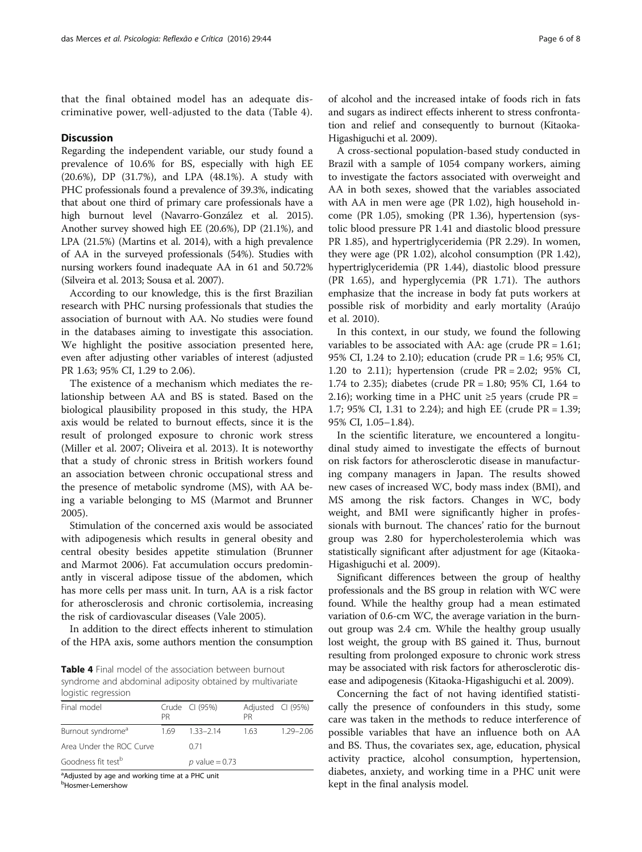that the final obtained model has an adequate discriminative power, well-adjusted to the data (Table 4).

### **Discussion**

Regarding the independent variable, our study found a prevalence of 10.6% for BS, especially with high EE (20.6%), DP (31.7%), and LPA (48.1%). A study with PHC professionals found a prevalence of 39.3%, indicating that about one third of primary care professionals have a high burnout level (Navarro-González et al. [2015](#page-7-0)). Another survey showed high EE (20.6%), DP (21.1%), and LPA (21.5%) (Martins et al. [2014](#page-7-0)), with a high prevalence of AA in the surveyed professionals (54%). Studies with nursing workers found inadequate AA in 61 and 50.72% (Silveira et al. [2013;](#page-7-0) Sousa et al. [2007](#page-7-0)).

According to our knowledge, this is the first Brazilian research with PHC nursing professionals that studies the association of burnout with AA. No studies were found in the databases aiming to investigate this association. We highlight the positive association presented here, even after adjusting other variables of interest (adjusted PR 1.63; 95% CI, 1.29 to 2.06).

The existence of a mechanism which mediates the relationship between AA and BS is stated. Based on the biological plausibility proposed in this study, the HPA axis would be related to burnout effects, since it is the result of prolonged exposure to chronic work stress (Miller et al. [2007](#page-7-0); Oliveira et al. [2013\)](#page-7-0). It is noteworthy that a study of chronic stress in British workers found an association between chronic occupational stress and the presence of metabolic syndrome (MS), with AA being a variable belonging to MS (Marmot and Brunner [2005](#page-7-0)).

Stimulation of the concerned axis would be associated with adipogenesis which results in general obesity and central obesity besides appetite stimulation (Brunner and Marmot [2006](#page-6-0)). Fat accumulation occurs predominantly in visceral adipose tissue of the abdomen, which has more cells per mass unit. In turn, AA is a risk factor for atherosclerosis and chronic cortisolemia, increasing the risk of cardiovascular diseases (Vale [2005\)](#page-7-0).

In addition to the direct effects inherent to stimulation of the HPA axis, some authors mention the consumption

Table 4 Final model of the association between burnout syndrome and abdominal adiposity obtained by multivariate logistic regression

| Final model                    | <b>PR</b> | Crude CI (95%)   | Adjusted CI (95%)<br>PR |           |
|--------------------------------|-----------|------------------|-------------------------|-----------|
| Burnout syndrome <sup>a</sup>  | 1.69      | $133 - 214$      | 163                     | 1.29-2.06 |
| Area Under the ROC Curve       |           | 0.71             |                         |           |
| Goodness fit test <sup>b</sup> |           | p value = $0.73$ |                         |           |

<sup>a</sup>Adjusted by age and working time at a PHC unit

b Hosmer-Lemershow

of alcohol and the increased intake of foods rich in fats and sugars as indirect effects inherent to stress confrontation and relief and consequently to burnout (Kitaoka-Higashiguchi et al. [2009](#page-6-0)).

A cross-sectional population-based study conducted in Brazil with a sample of 1054 company workers, aiming to investigate the factors associated with overweight and AA in both sexes, showed that the variables associated with AA in men were age (PR 1.02), high household income (PR 1.05), smoking (PR 1.36), hypertension (systolic blood pressure PR 1.41 and diastolic blood pressure PR 1.85), and hypertriglyceridemia (PR 2.29). In women, they were age (PR 1.02), alcohol consumption (PR 1.42), hypertriglyceridemia (PR 1.44), diastolic blood pressure (PR 1.65), and hyperglycemia (PR 1.71). The authors emphasize that the increase in body fat puts workers at possible risk of morbidity and early mortality (Araújo et al. [2010\)](#page-6-0).

In this context, in our study, we found the following variables to be associated with AA: age (crude PR = 1.61; 95% CI, 1.24 to 2.10); education (crude PR = 1.6; 95% CI, 1.20 to 2.11); hypertension (crude PR = 2.02; 95% CI, 1.74 to 2.35); diabetes (crude PR = 1.80; 95% CI, 1.64 to 2.16); working time in a PHC unit  $\geq$ 5 years (crude PR = 1.7; 95% CI, 1.31 to 2.24); and high EE (crude PR = 1.39; 95% CI, 1.05–1.84).

In the scientific literature, we encountered a longitudinal study aimed to investigate the effects of burnout on risk factors for atherosclerotic disease in manufacturing company managers in Japan. The results showed new cases of increased WC, body mass index (BMI), and MS among the risk factors. Changes in WC, body weight, and BMI were significantly higher in professionals with burnout. The chances' ratio for the burnout group was 2.80 for hypercholesterolemia which was statistically significant after adjustment for age (Kitaoka-Higashiguchi et al. [2009](#page-6-0)).

Significant differences between the group of healthy professionals and the BS group in relation with WC were found. While the healthy group had a mean estimated variation of 0.6-cm WC, the average variation in the burnout group was 2.4 cm. While the healthy group usually lost weight, the group with BS gained it. Thus, burnout resulting from prolonged exposure to chronic work stress may be associated with risk factors for atherosclerotic disease and adipogenesis (Kitaoka-Higashiguchi et al. [2009](#page-6-0)).

Concerning the fact of not having identified statistically the presence of confounders in this study, some care was taken in the methods to reduce interference of possible variables that have an influence both on AA and BS. Thus, the covariates sex, age, education, physical activity practice, alcohol consumption, hypertension, diabetes, anxiety, and working time in a PHC unit were kept in the final analysis model.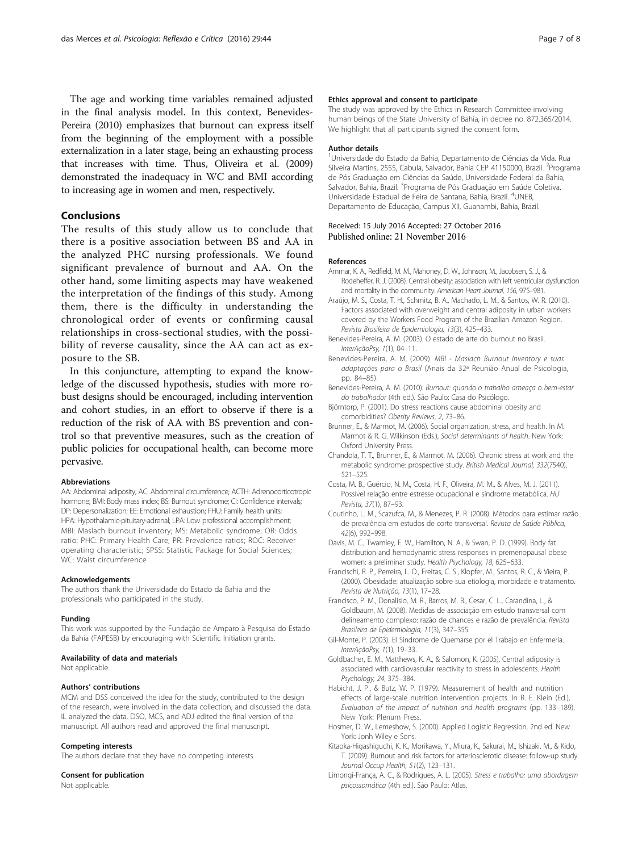<span id="page-6-0"></span>The age and working time variables remained adjusted in the final analysis model. In this context, Benevides-Pereira (2010) emphasizes that burnout can express itself from the beginning of the employment with a possible externalization in a later stage, being an exhausting process that increases with time. Thus, Oliveira et al. [\(2009](#page-7-0)) demonstrated the inadequacy in WC and BMI according to increasing age in women and men, respectively.

## Conclusions

The results of this study allow us to conclude that there is a positive association between BS and AA in the analyzed PHC nursing professionals. We found significant prevalence of burnout and AA. On the other hand, some limiting aspects may have weakened the interpretation of the findings of this study. Among them, there is the difficulty in understanding the chronological order of events or confirming causal relationships in cross-sectional studies, with the possibility of reverse causality, since the AA can act as exposure to the SB.

In this conjuncture, attempting to expand the knowledge of the discussed hypothesis, studies with more robust designs should be encouraged, including intervention and cohort studies, in an effort to observe if there is a reduction of the risk of AA with BS prevention and control so that preventive measures, such as the creation of public policies for occupational health, can become more pervasive.

#### Abbreviations

AA: Abdominal adiposity; AC: Abdominal circumference; ACTH: Adrenocorticotropic hormone; BMI: Body mass index; BS: Burnout syndrome; CI: Confidence intervals; DP: Depersonalization; EE: Emotional exhaustion; FHU: Family health units; HPA: Hypothalamic-pituitary-adrenal; LPA: Low professional accomplishment; MBI: Maslach burnout inventory; MS: Metabolic syndrome; OR: Odds ratio; PHC: Primary Health Care; PR: Prevalence ratios; ROC: Receiver operating characteristic; SPSS: Statistic Package for Social Sciences; WC: Waist circumference

#### Acknowledgements

The authors thank the Universidade do Estado da Bahia and the professionals who participated in the study.

#### Funding

This work was supported by the Fundação de Amparo à Pesquisa do Estado da Bahia (FAPESB) by encouraging with Scientific Initiation grants.

#### Availability of data and materials

Not applicable.

### Authors' contributions

MCM and DSS conceived the idea for the study, contributed to the design of the research, were involved in the data collection, and discussed the data. IL analyzed the data. DSO, MCS, and ADJ edited the final version of the manuscript. All authors read and approved the final manuscript.

#### Competing interests

The authors declare that they have no competing interests.

#### Consent for publication

Not applicable.

#### Ethics approval and consent to participate

The study was approved by the Ethics in Research Committee involving human beings of the State University of Bahia, in decree no. 872.365/2014. We highlight that all participants signed the consent form.

#### Author details

1 Universidade do Estado da Bahia, Departamento de Ciências da Vida. Rua Silveira Martins, 2555, Cabula, Salvador, Bahia CEP 41150000, Brazil. <sup>2</sup>Programa de Pós Graduação em Ciências da Saúde, Universidade Federal da Bahia, Salvador, Bahia, Brazil. <sup>3</sup>Programa de Pós Graduação em Saúde Coletiva. Universidade Estadual de Feira de Santana, Bahia, Brazil. <sup>4</sup>UNEB Departamento de Educação, Campus XII, Guanambi, Bahia, Brazil.

#### Received: 15 July 2016 Accepted: 27 October 2016 Published online: 21 November 2016

#### References

- Ammar, K. A., Redfield, M. M., Mahoney, D. W., Johnson, M., Jacobsen, S. J., & Rodeheffer, R. J. (2008). Central obesity: association with left ventricular dysfunction and mortality in the community. American Heart Journal, 156, 975–981.
- Araújo, M. S., Costa, T. H., Schmitz, B. A., Machado, L. M., & Santos, W. R. (2010). Factors associated with overweight and central adiposity in urban workers covered by the Workers Food Program of the Brazilian Amazon Region. Revista Brasileira de Epidemiologia, 13(3), 425–433.
- Benevides-Pereira, A. M. (2003). O estado de arte do burnout no Brasil. InterAçãoPsy, 1(1), 04–11.
- Benevides-Pereira, A. M. (2009). MBI Maslach Burnout Inventory e suas adaptações para o Brasil (Anais da 32ª Reunião Anual de Psicologia, pp. 84–85).
- Benevides-Pereira, A. M. (2010). Burnout: quando o trabalho ameaça o bem-estar do trabalhador (4th ed.). São Paulo: Casa do Psicólogo.
- Björntorp, P. (2001). Do stress reactions cause abdominal obesity and comorbidities? Obesity Reviews, 2, 73–86.
- Brunner, E., & Marmot, M. (2006). Social organization, stress, and health. In M. Marmot & R. G. Wilkinson (Eds.), Social determinants of health. New York: Oxford University Press.
- Chandola, T. T., Brunner, E., & Marmot, M. (2006). Chronic stress at work and the metabolic syndrome: prospective study. British Medical Journal, 332(7540), 521–525.
- Costa, M. B., Guércio, N. M., Costa, H. F., Oliveira, M. M., & Alves, M. J. (2011). Possível relação entre estresse ocupacional e síndrome metabólica. HU Revista, 37(1), 87–93.
- Coutinho, L. M., Scazufca, M., & Menezes, P. R. (2008). Métodos para estimar razão de prevalência em estudos de corte transversal. Revista de Saúde Pública, 42(6), 992–998.
- Davis, M. C., Twamley, E. W., Hamilton, N. A., & Swan, P. D. (1999). Body fat distribution and hemodynamic stress responses in premenopausal obese women: a preliminar study. Health Psychology, 18, 625–633.
- Francischi, R. P., Perreira, L. O., Freitas, C. S., Klopfer, M., Santos, R. C., & Vieira, P. (2000). Obesidade: atualização sobre sua etiologia, morbidade e tratamento. Revista de Nutrição, 13(1), 17–28.

Francisco, P. M., Donalisio, M. R., Barros, M. B., Cesar, C. L., Carandina, L., & Goldbaum, M. (2008). Medidas de associação em estudo transversal com delineamento complexo: razão de chances e razão de prevalência. Revista Brasileira de Epidemiologia, 11(3), 347–355.

- Gil-Monte, P. (2003). El Síndrome de Quemarse por el Trabajo en Enfermería. InterAçãoPsy, 1(1), 19–33.
- Goldbacher, E. M., Matthews, K. A., & Salomon, K. (2005). Central adiposity is associated with cardiovascular reactivity to stress in adolescents. Health Psychology, 24, 375–384.
- Habicht, J. P., & Butz, W. P. (1979). Measurement of health and nutrition effects of large-scale nutrition intervention projects. In R. E. Klein (Ed.), Evaluation of the impact of nutrition and health programs (pp. 133–189). New York: Plenum Press.
- Hosmer, D. W., Lemeshow, S. (2000). Applied Logistic Regression, 2nd ed. New York: Jonh Wiley e Sons.
- Kitaoka-Higashiguchi, K. K., Morikawa, Y., Miura, K., Sakurai, M., Ishizaki, M., & Kido, T. (2009). Burnout and risk factors for arteriosclerotic disease: follow-up study. Journal Occup Health, 51(2), 123–131.
- Limongi-França, A. C., & Rodrigues, A. L. (2005). Stress e trabalho: uma abordagem psicossomática (4th ed.). São Paulo: Atlas.